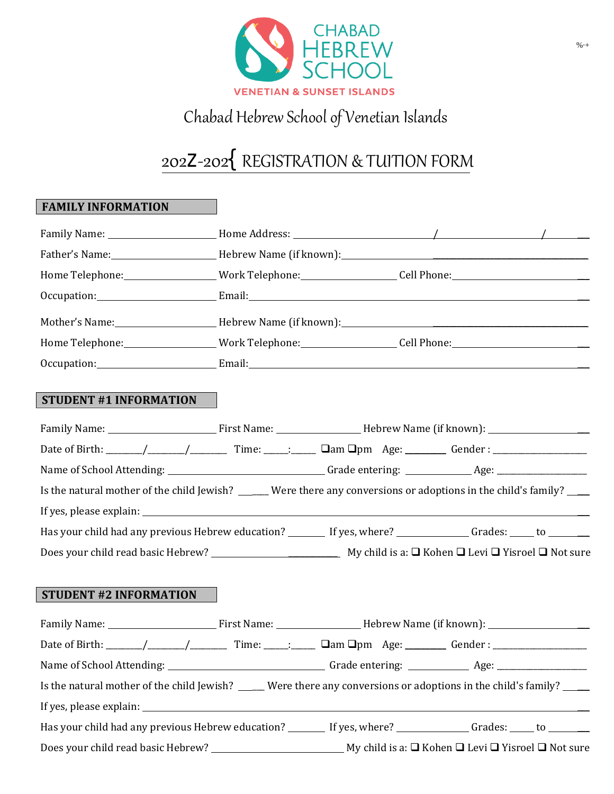

## Chabad Hebrew School of Venetian Islands

# 202Z02 *{*REGISTRATION & TUITION FORM

### **FAMILY INFORMATION**

| Home Telephone:___________________Work Telephone:__________________Cell Phone:________________________________                                                                                                                |  |  |
|-------------------------------------------------------------------------------------------------------------------------------------------------------------------------------------------------------------------------------|--|--|
| Occupation: Email: Email: Email: Email: Email: Email: Email: Email: Email: Email: Email: Email: Email: Email: Email: Email: Email: Email: Email: Email: Email: Email: Email: Email: Email: Email: Email: Email: Email: Email: |  |  |
|                                                                                                                                                                                                                               |  |  |
| Home Telephone:___________________Work Telephone:__________________Cell Phone:______________________                                                                                                                          |  |  |
| Occupation: Email: Email: Email: Email: Email: Email: Email: Email: Email: Email: Email: Email: Email: Email: Email: Email: Email: Email: Email: Email: Email: Email: Email: Email: Email: Email: Email: Email: Email: Email: |  |  |
| <b>STUDENT #1 INFORMATION</b>                                                                                                                                                                                                 |  |  |
|                                                                                                                                                                                                                               |  |  |
|                                                                                                                                                                                                                               |  |  |
|                                                                                                                                                                                                                               |  |  |
| Is the natural mother of the child Jewish? _____ Were there any conversions or adoptions in the child's family? ___                                                                                                           |  |  |
|                                                                                                                                                                                                                               |  |  |
| Has your child had any previous Hebrew education? _______ If yes, where? _____________ Grades: ____ to ______                                                                                                                 |  |  |
|                                                                                                                                                                                                                               |  |  |
|                                                                                                                                                                                                                               |  |  |
| <b>STUDENT #2 INFORMATION</b>                                                                                                                                                                                                 |  |  |
|                                                                                                                                                                                                                               |  |  |
|                                                                                                                                                                                                                               |  |  |
|                                                                                                                                                                                                                               |  |  |
| Is the natural mother of the child Jewish? _____ Were there any conversions or adoptions in the child's family? ____                                                                                                          |  |  |
|                                                                                                                                                                                                                               |  |  |
| Has your child had any previous Hebrew education? ________ If yes, where? ______________ Grades: _____ to _______                                                                                                             |  |  |
|                                                                                                                                                                                                                               |  |  |